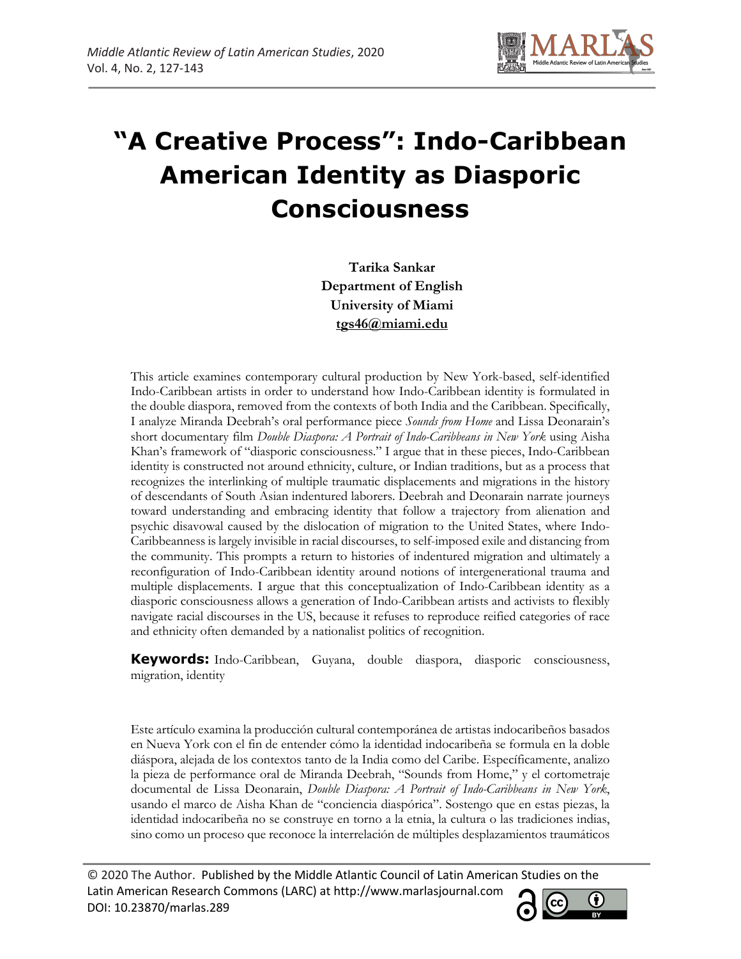

# **"A Creative Process": Indo-Caribbean American Identity as Diasporic Consciousness**

**Tarika Sankar Department of English University of Miami tgs46@miami.edu**

This article examines contemporary cultural production by New York-based, self-identified Indo-Caribbean artists in order to understand how Indo-Caribbean identity is formulated in the double diaspora, removed from the contexts of both India and the Caribbean. Specifically, I analyze Miranda Deebrah's oral performance piece *Sounds from Home* and Lissa Deonarain's short documentary film *Double Diaspora: A Portrait of Indo-Caribbeans in New York* using Aisha Khan's framework of "diasporic consciousness." I argue that in these pieces, Indo-Caribbean identity is constructed not around ethnicity, culture, or Indian traditions, but as a process that recognizes the interlinking of multiple traumatic displacements and migrations in the history of descendants of South Asian indentured laborers. Deebrah and Deonarain narrate journeys toward understanding and embracing identity that follow a trajectory from alienation and psychic disavowal caused by the dislocation of migration to the United States, where Indo-Caribbeanness is largely invisible in racial discourses, to self-imposed exile and distancing from the community. This prompts a return to histories of indentured migration and ultimately a reconfiguration of Indo-Caribbean identity around notions of intergenerational trauma and multiple displacements. I argue that this conceptualization of Indo-Caribbean identity as a diasporic consciousness allows a generation of Indo-Caribbean artists and activists to flexibly navigate racial discourses in the US, because it refuses to reproduce reified categories of race and ethnicity often demanded by a nationalist politics of recognition.

**Keywords:** Indo-Caribbean, Guyana, double diaspora, diasporic consciousness, migration, identity

Este artículo examina la producción cultural contemporánea de artistas indocaribeños basados en Nueva York con el fin de entender cómo la identidad indocaribeña se formula en la doble diáspora, alejada de los contextos tanto de la India como del Caribe. Específicamente, analizo la pieza de performance oral de Miranda Deebrah, "Sounds from Home," y el cortometraje documental de Lissa Deonarain, *Double Diaspora: A Portrait of Indo-Caribbeans in New York*, usando el marco de Aisha Khan de "conciencia diaspórica". Sostengo que en estas piezas, la identidad indocaribeña no se construye en torno a la etnia, la cultura o las tradiciones indias, sino como un proceso que reconoce la interrelación de múltiples desplazamientos traumáticos

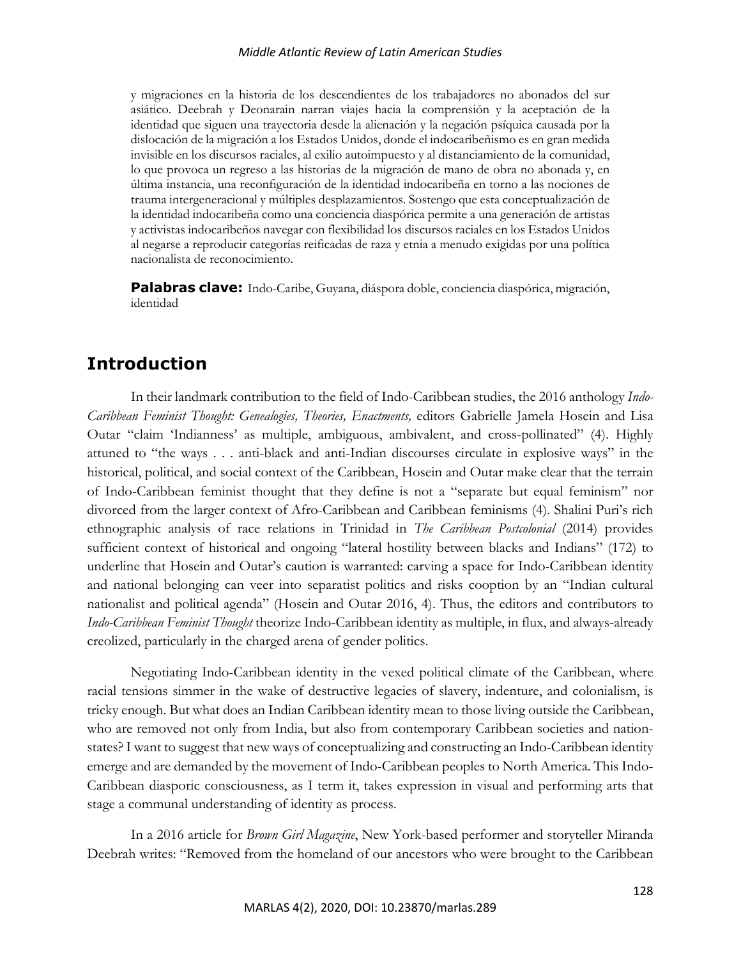y migraciones en la historia de los descendientes de los trabajadores no abonados del sur asiático. Deebrah y Deonarain narran viajes hacia la comprensión y la aceptación de la identidad que siguen una trayectoria desde la alienación y la negación psíquica causada por la dislocación de la migración a los Estados Unidos, donde el indocaribeñismo es en gran medida invisible en los discursos raciales, al exilio autoimpuesto y al distanciamiento de la comunidad, lo que provoca un regreso a las historias de la migración de mano de obra no abonada y, en última instancia, una reconfiguración de la identidad indocaribeña en torno a las nociones de trauma intergeneracional y múltiples desplazamientos. Sostengo que esta conceptualización de la identidad indocaribeña como una conciencia diaspórica permite a una generación de artistas y activistas indocaribeños navegar con flexibilidad los discursos raciales en los Estados Unidos al negarse a reproducir categorías reificadas de raza y etnia a menudo exigidas por una política nacionalista de reconocimiento.

**Palabras clave:** Indo-Caribe, Guyana, diáspora doble, conciencia diaspórica, migración, identidad

# **Introduction**

In their landmark contribution to the field of Indo-Caribbean studies, the 2016 anthology *Indo-Caribbean Feminist Thought: Genealogies, Theories, Enactments,* editors Gabrielle Jamela Hosein and Lisa Outar "claim 'Indianness' as multiple, ambiguous, ambivalent, and cross-pollinated" (4). Highly attuned to "the ways . . . anti-black and anti-Indian discourses circulate in explosive ways" in the historical, political, and social context of the Caribbean, Hosein and Outar make clear that the terrain of Indo-Caribbean feminist thought that they define is not a "separate but equal feminism" nor divorced from the larger context of Afro-Caribbean and Caribbean feminisms (4). Shalini Puri's rich ethnographic analysis of race relations in Trinidad in *The Caribbean Postcolonial* (2014) provides sufficient context of historical and ongoing "lateral hostility between blacks and Indians" (172) to underline that Hosein and Outar's caution is warranted: carving a space for Indo-Caribbean identity and national belonging can veer into separatist politics and risks cooption by an "Indian cultural nationalist and political agenda" (Hosein and Outar 2016, 4). Thus, the editors and contributors to *Indo-Caribbean Feminist Thought* theorize Indo-Caribbean identity as multiple, in flux, and always-already creolized, particularly in the charged arena of gender politics.

Negotiating Indo-Caribbean identity in the vexed political climate of the Caribbean, where racial tensions simmer in the wake of destructive legacies of slavery, indenture, and colonialism, is tricky enough. But what does an Indian Caribbean identity mean to those living outside the Caribbean, who are removed not only from India, but also from contemporary Caribbean societies and nationstates? I want to suggest that new ways of conceptualizing and constructing an Indo-Caribbean identity emerge and are demanded by the movement of Indo-Caribbean peoples to North America. This Indo-Caribbean diasporic consciousness, as I term it, takes expression in visual and performing arts that stage a communal understanding of identity as process.

In a 2016 article for *Brown Girl Magazine*, New York-based performer and storyteller Miranda Deebrah writes: "Removed from the homeland of our ancestors who were brought to the Caribbean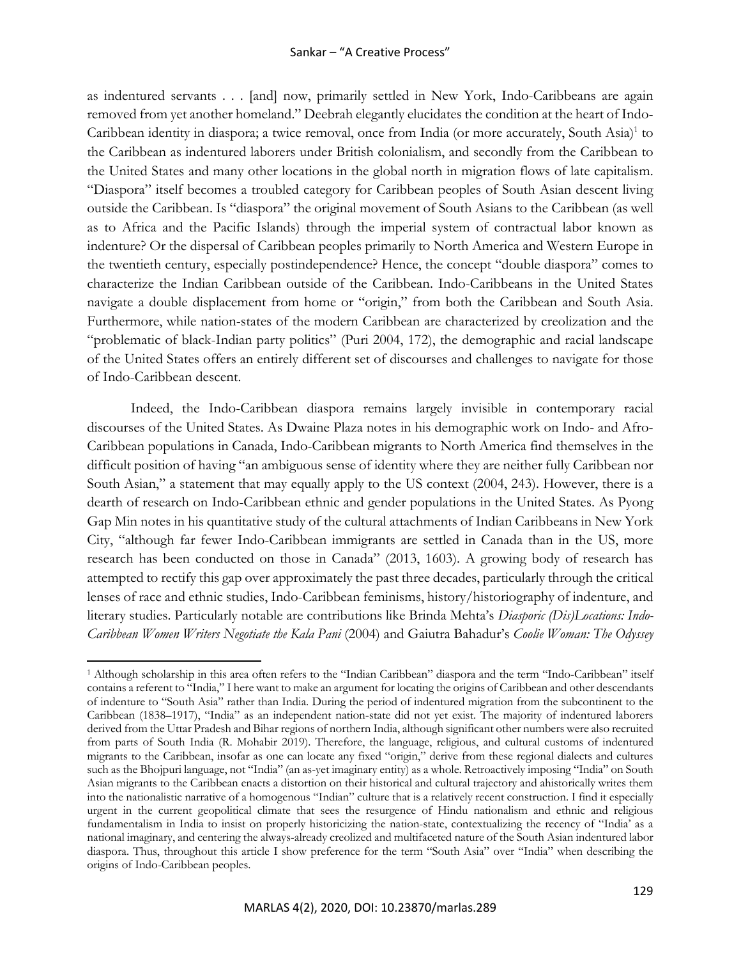as indentured servants . . . [and] now, primarily settled in New York, Indo-Caribbeans are again removed from yet another homeland." Deebrah elegantly elucidates the condition at the heart of Indo-Caribbean identity in diaspora; a twice removal, once from India (or more accurately, South Asia)<sup>1</sup> to the Caribbean as indentured laborers under British colonialism, and secondly from the Caribbean to the United States and many other locations in the global north in migration flows of late capitalism. "Diaspora" itself becomes a troubled category for Caribbean peoples of South Asian descent living outside the Caribbean. Is "diaspora" the original movement of South Asians to the Caribbean (as well as to Africa and the Pacific Islands) through the imperial system of contractual labor known as indenture? Or the dispersal of Caribbean peoples primarily to North America and Western Europe in the twentieth century, especially postindependence? Hence, the concept "double diaspora" comes to characterize the Indian Caribbean outside of the Caribbean. Indo-Caribbeans in the United States navigate a double displacement from home or "origin," from both the Caribbean and South Asia. Furthermore, while nation-states of the modern Caribbean are characterized by creolization and the "problematic of black-Indian party politics" (Puri 2004, 172), the demographic and racial landscape of the United States offers an entirely different set of discourses and challenges to navigate for those of Indo-Caribbean descent.

Indeed, the Indo-Caribbean diaspora remains largely invisible in contemporary racial discourses of the United States. As Dwaine Plaza notes in his demographic work on Indo- and Afro-Caribbean populations in Canada, Indo-Caribbean migrants to North America find themselves in the difficult position of having "an ambiguous sense of identity where they are neither fully Caribbean nor South Asian," a statement that may equally apply to the US context (2004, 243). However, there is a dearth of research on Indo-Caribbean ethnic and gender populations in the United States. As Pyong Gap Min notes in his quantitative study of the cultural attachments of Indian Caribbeans in New York City, "although far fewer Indo-Caribbean immigrants are settled in Canada than in the US, more research has been conducted on those in Canada" (2013, 1603). A growing body of research has attempted to rectify this gap over approximately the past three decades, particularly through the critical lenses of race and ethnic studies, Indo-Caribbean feminisms, history/historiography of indenture, and literary studies. Particularly notable are contributions like Brinda Mehta's *Diasporic (Dis)Locations: Indo-Caribbean Women Writers Negotiate the Kala Pani* (2004) and Gaiutra Bahadur's *Coolie Woman: The Odyssey* 

<sup>1</sup> Although scholarship in this area often refers to the "Indian Caribbean" diaspora and the term "Indo-Caribbean" itself contains a referent to "India," I here want to make an argument for locating the origins of Caribbean and other descendants of indenture to "South Asia" rather than India. During the period of indentured migration from the subcontinent to the Caribbean (1838–1917), "India" as an independent nation-state did not yet exist. The majority of indentured laborers derived from the Uttar Pradesh and Bihar regions of northern India, although significant other numbers were also recruited from parts of South India (R. Mohabir 2019). Therefore, the language, religious, and cultural customs of indentured migrants to the Caribbean, insofar as one can locate any fixed "origin," derive from these regional dialects and cultures such as the Bhojpuri language, not "India" (an as-yet imaginary entity) as a whole. Retroactively imposing "India" on South Asian migrants to the Caribbean enacts a distortion on their historical and cultural trajectory and ahistorically writes them into the nationalistic narrative of a homogenous "Indian" culture that is a relatively recent construction. I find it especially urgent in the current geopolitical climate that sees the resurgence of Hindu nationalism and ethnic and religious fundamentalism in India to insist on properly historicizing the nation-state, contextualizing the recency of "India' as a national imaginary, and centering the always-already creolized and multifaceted nature of the South Asian indentured labor diaspora. Thus, throughout this article I show preference for the term "South Asia" over "India" when describing the origins of Indo-Caribbean peoples.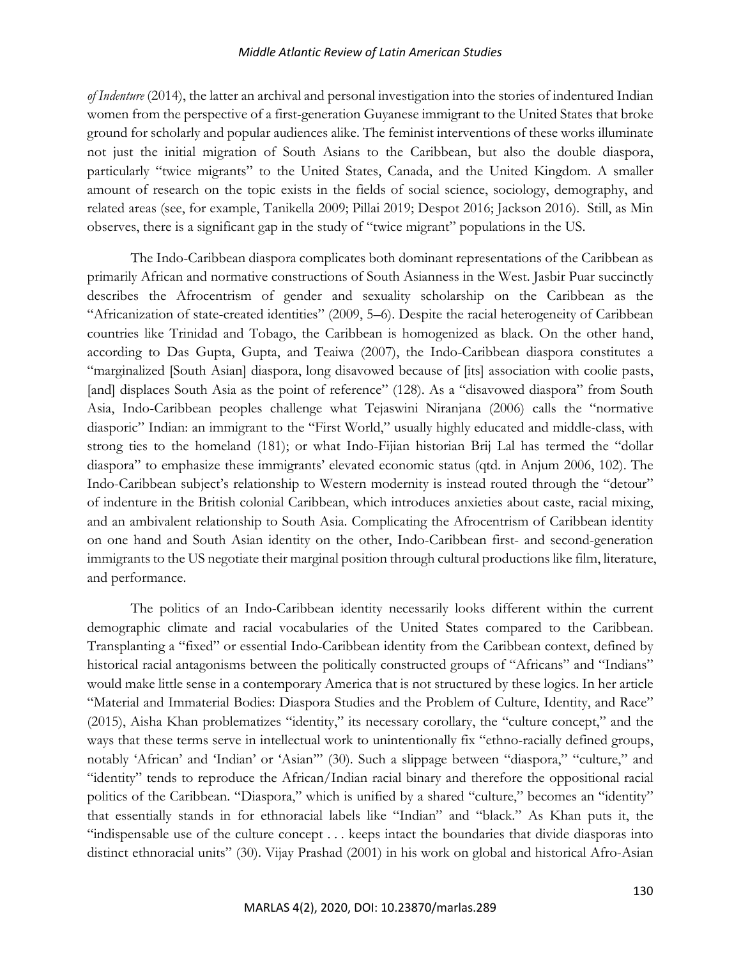#### *Middle Atlantic Review of Latin American Studies*

*of Indenture* (2014), the latter an archival and personal investigation into the stories of indentured Indian women from the perspective of a first-generation Guyanese immigrant to the United States that broke ground for scholarly and popular audiences alike. The feminist interventions of these works illuminate not just the initial migration of South Asians to the Caribbean, but also the double diaspora, particularly "twice migrants" to the United States, Canada, and the United Kingdom. A smaller amount of research on the topic exists in the fields of social science, sociology, demography, and related areas (see, for example, Tanikella 2009; Pillai 2019; Despot 2016; Jackson 2016). Still, as Min observes, there is a significant gap in the study of "twice migrant" populations in the US.

The Indo-Caribbean diaspora complicates both dominant representations of the Caribbean as primarily African and normative constructions of South Asianness in the West. Jasbir Puar succinctly describes the Afrocentrism of gender and sexuality scholarship on the Caribbean as the "Africanization of state-created identities" (2009, 5–6). Despite the racial heterogeneity of Caribbean countries like Trinidad and Tobago, the Caribbean is homogenized as black. On the other hand, according to Das Gupta, Gupta, and Teaiwa (2007), the Indo-Caribbean diaspora constitutes a "marginalized [South Asian] diaspora, long disavowed because of [its] association with coolie pasts, [and] displaces South Asia as the point of reference" (128). As a "disavowed diaspora" from South Asia, Indo-Caribbean peoples challenge what Tejaswini Niranjana (2006) calls the "normative diasporic" Indian: an immigrant to the "First World," usually highly educated and middle-class, with strong ties to the homeland (181); or what Indo-Fijian historian Brij Lal has termed the "dollar diaspora" to emphasize these immigrants' elevated economic status (qtd. in Anjum 2006, 102). The Indo-Caribbean subject's relationship to Western modernity is instead routed through the "detour" of indenture in the British colonial Caribbean, which introduces anxieties about caste, racial mixing, and an ambivalent relationship to South Asia. Complicating the Afrocentrism of Caribbean identity on one hand and South Asian identity on the other, Indo-Caribbean first- and second-generation immigrants to the US negotiate their marginal position through cultural productions like film, literature, and performance.

The politics of an Indo-Caribbean identity necessarily looks different within the current demographic climate and racial vocabularies of the United States compared to the Caribbean. Transplanting a "fixed" or essential Indo-Caribbean identity from the Caribbean context, defined by historical racial antagonisms between the politically constructed groups of "Africans" and "Indians" would make little sense in a contemporary America that is not structured by these logics. In her article "Material and Immaterial Bodies: Diaspora Studies and the Problem of Culture, Identity, and Race" (2015), Aisha Khan problematizes "identity," its necessary corollary, the "culture concept," and the ways that these terms serve in intellectual work to unintentionally fix "ethno-racially defined groups, notably 'African' and 'Indian' or 'Asian'" (30). Such a slippage between "diaspora," "culture," and "identity" tends to reproduce the African/Indian racial binary and therefore the oppositional racial politics of the Caribbean. "Diaspora," which is unified by a shared "culture," becomes an "identity" that essentially stands in for ethnoracial labels like "Indian" and "black." As Khan puts it, the "indispensable use of the culture concept . . . keeps intact the boundaries that divide diasporas into distinct ethnoracial units" (30). Vijay Prashad (2001) in his work on global and historical Afro-Asian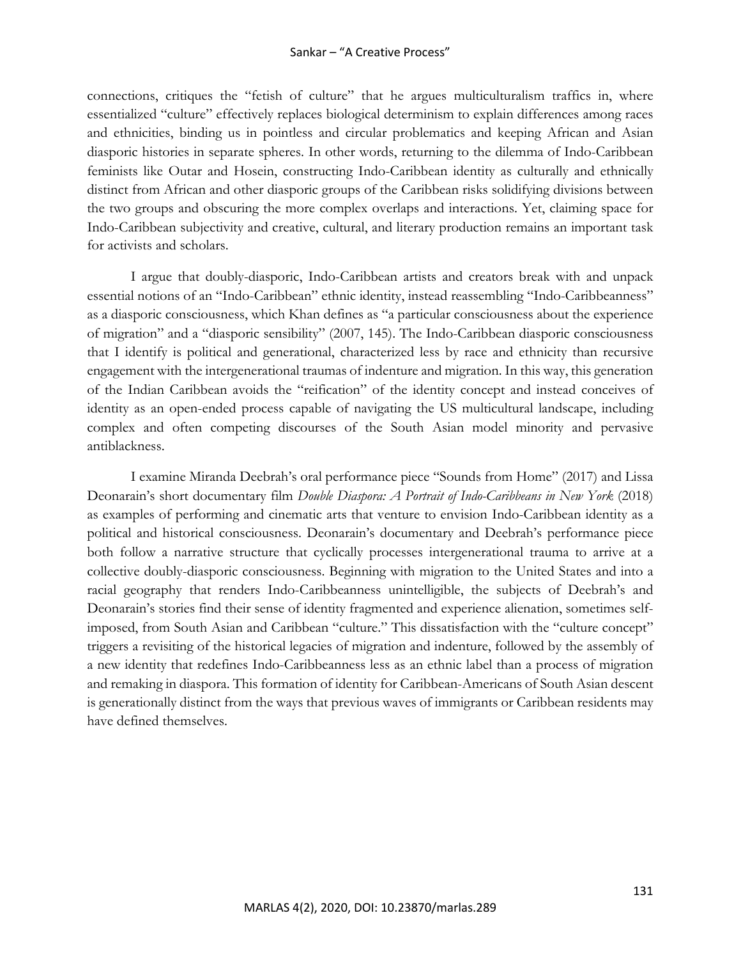#### Sankar – "A Creative Process"

connections, critiques the "fetish of culture" that he argues multiculturalism traffics in, where essentialized "culture" effectively replaces biological determinism to explain differences among races and ethnicities, binding us in pointless and circular problematics and keeping African and Asian diasporic histories in separate spheres. In other words, returning to the dilemma of Indo-Caribbean feminists like Outar and Hosein, constructing Indo-Caribbean identity as culturally and ethnically distinct from African and other diasporic groups of the Caribbean risks solidifying divisions between the two groups and obscuring the more complex overlaps and interactions. Yet, claiming space for Indo-Caribbean subjectivity and creative, cultural, and literary production remains an important task for activists and scholars.

I argue that doubly-diasporic, Indo-Caribbean artists and creators break with and unpack essential notions of an "Indo-Caribbean" ethnic identity, instead reassembling "Indo-Caribbeanness" as a diasporic consciousness, which Khan defines as "a particular consciousness about the experience of migration" and a "diasporic sensibility" (2007, 145). The Indo-Caribbean diasporic consciousness that I identify is political and generational, characterized less by race and ethnicity than recursive engagement with the intergenerational traumas of indenture and migration. In this way, this generation of the Indian Caribbean avoids the "reification" of the identity concept and instead conceives of identity as an open-ended process capable of navigating the US multicultural landscape, including complex and often competing discourses of the South Asian model minority and pervasive antiblackness.

I examine Miranda Deebrah's oral performance piece "Sounds from Home" (2017) and Lissa Deonarain's short documentary film *Double Diaspora: A Portrait of Indo-Caribbeans in New York* (2018) as examples of performing and cinematic arts that venture to envision Indo-Caribbean identity as a political and historical consciousness. Deonarain's documentary and Deebrah's performance piece both follow a narrative structure that cyclically processes intergenerational trauma to arrive at a collective doubly-diasporic consciousness. Beginning with migration to the United States and into a racial geography that renders Indo-Caribbeanness unintelligible, the subjects of Deebrah's and Deonarain's stories find their sense of identity fragmented and experience alienation, sometimes selfimposed, from South Asian and Caribbean "culture." This dissatisfaction with the "culture concept" triggers a revisiting of the historical legacies of migration and indenture, followed by the assembly of a new identity that redefines Indo-Caribbeanness less as an ethnic label than a process of migration and remaking in diaspora. This formation of identity for Caribbean-Americans of South Asian descent is generationally distinct from the ways that previous waves of immigrants or Caribbean residents may have defined themselves.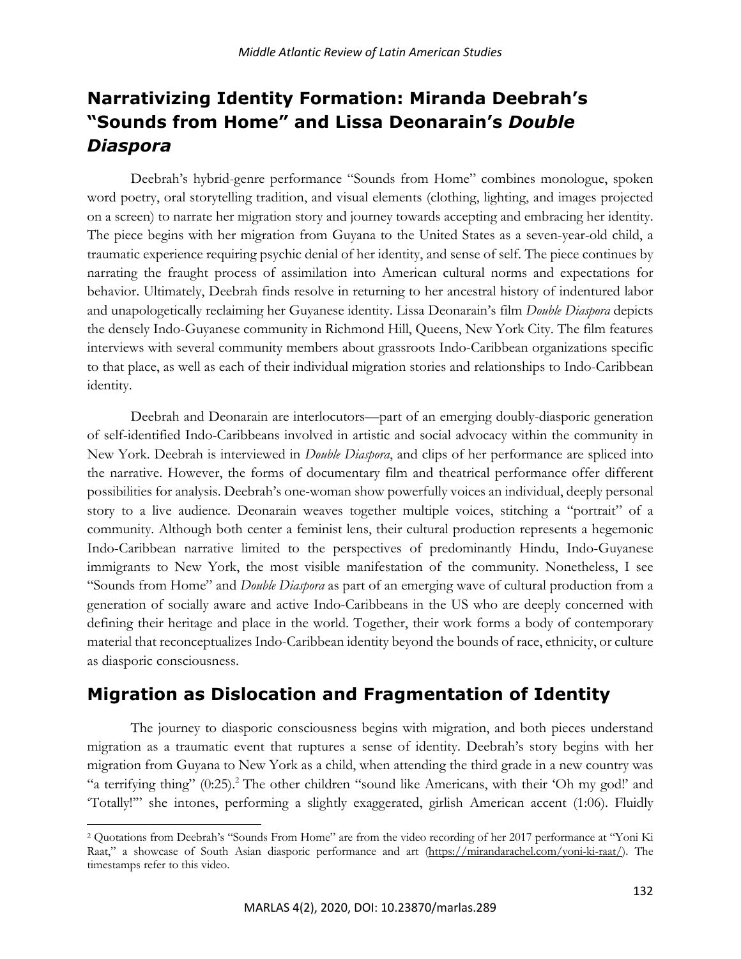# **Narrativizing Identity Formation: Miranda Deebrah's "Sounds from Home" and Lissa Deonarain's** *Double Diaspora*

Deebrah's hybrid-genre performance "Sounds from Home" combines monologue, spoken word poetry, oral storytelling tradition, and visual elements (clothing, lighting, and images projected on a screen) to narrate her migration story and journey towards accepting and embracing her identity. The piece begins with her migration from Guyana to the United States as a seven-year-old child, a traumatic experience requiring psychic denial of her identity, and sense of self. The piece continues by narrating the fraught process of assimilation into American cultural norms and expectations for behavior. Ultimately, Deebrah finds resolve in returning to her ancestral history of indentured labor and unapologetically reclaiming her Guyanese identity. Lissa Deonarain's film *Double Diaspora* depicts the densely Indo-Guyanese community in Richmond Hill, Queens, New York City. The film features interviews with several community members about grassroots Indo-Caribbean organizations specific to that place, as well as each of their individual migration stories and relationships to Indo-Caribbean identity.

Deebrah and Deonarain are interlocutors—part of an emerging doubly-diasporic generation of self-identified Indo-Caribbeans involved in artistic and social advocacy within the community in New York. Deebrah is interviewed in *Double Diaspora*, and clips of her performance are spliced into the narrative. However, the forms of documentary film and theatrical performance offer different possibilities for analysis. Deebrah's one-woman show powerfully voices an individual, deeply personal story to a live audience. Deonarain weaves together multiple voices, stitching a "portrait" of a community. Although both center a feminist lens, their cultural production represents a hegemonic Indo-Caribbean narrative limited to the perspectives of predominantly Hindu, Indo-Guyanese immigrants to New York, the most visible manifestation of the community. Nonetheless, I see "Sounds from Home" and *Double Diaspora* as part of an emerging wave of cultural production from a generation of socially aware and active Indo-Caribbeans in the US who are deeply concerned with defining their heritage and place in the world. Together, their work forms a body of contemporary material that reconceptualizes Indo-Caribbean identity beyond the bounds of race, ethnicity, or culture as diasporic consciousness.

# **Migration as Dislocation and Fragmentation of Identity**

The journey to diasporic consciousness begins with migration, and both pieces understand migration as a traumatic event that ruptures a sense of identity. Deebrah's story begins with her migration from Guyana to New York as a child, when attending the third grade in a new country was "a terrifying thing" (0:25).<sup>2</sup> The other children "sound like Americans, with their 'Oh my god!' and 'Totally!'" she intones, performing a slightly exaggerated, girlish American accent (1:06). Fluidly

<sup>2</sup> Quotations from Deebrah's "Sounds From Home" are from the video recording of her 2017 performance at "Yoni Ki Raat," a showcase of South Asian diasporic performance and art (https://mirandarachel.com/yoni-ki-raat/). The timestamps refer to this video.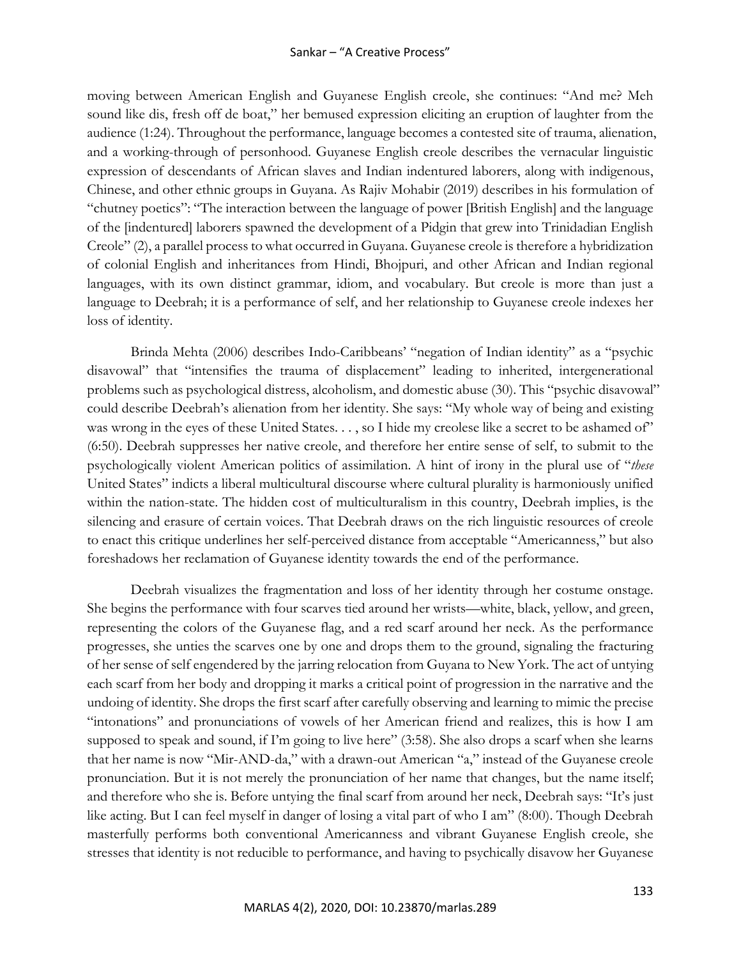#### Sankar – "A Creative Process"

moving between American English and Guyanese English creole, she continues: "And me? Meh sound like dis, fresh off de boat," her bemused expression eliciting an eruption of laughter from the audience (1:24). Throughout the performance, language becomes a contested site of trauma, alienation, and a working-through of personhood. Guyanese English creole describes the vernacular linguistic expression of descendants of African slaves and Indian indentured laborers, along with indigenous, Chinese, and other ethnic groups in Guyana. As Rajiv Mohabir (2019) describes in his formulation of "chutney poetics": "The interaction between the language of power [British English] and the language of the [indentured] laborers spawned the development of a Pidgin that grew into Trinidadian English Creole" (2), a parallel process to what occurred in Guyana. Guyanese creole is therefore a hybridization of colonial English and inheritances from Hindi, Bhojpuri, and other African and Indian regional languages, with its own distinct grammar, idiom, and vocabulary. But creole is more than just a language to Deebrah; it is a performance of self, and her relationship to Guyanese creole indexes her loss of identity.

Brinda Mehta (2006) describes Indo-Caribbeans' "negation of Indian identity" as a "psychic disavowal" that "intensifies the trauma of displacement" leading to inherited, intergenerational problems such as psychological distress, alcoholism, and domestic abuse (30). This "psychic disavowal" could describe Deebrah's alienation from her identity. She says: "My whole way of being and existing was wrong in the eyes of these United States. . . , so I hide my creolese like a secret to be ashamed of" (6:50). Deebrah suppresses her native creole, and therefore her entire sense of self, to submit to the psychologically violent American politics of assimilation. A hint of irony in the plural use of "*these*  United States" indicts a liberal multicultural discourse where cultural plurality is harmoniously unified within the nation-state. The hidden cost of multiculturalism in this country, Deebrah implies, is the silencing and erasure of certain voices. That Deebrah draws on the rich linguistic resources of creole to enact this critique underlines her self-perceived distance from acceptable "Americanness," but also foreshadows her reclamation of Guyanese identity towards the end of the performance.

Deebrah visualizes the fragmentation and loss of her identity through her costume onstage. She begins the performance with four scarves tied around her wrists—white, black, yellow, and green, representing the colors of the Guyanese flag, and a red scarf around her neck. As the performance progresses, she unties the scarves one by one and drops them to the ground, signaling the fracturing of her sense of self engendered by the jarring relocation from Guyana to New York. The act of untying each scarf from her body and dropping it marks a critical point of progression in the narrative and the undoing of identity. She drops the first scarf after carefully observing and learning to mimic the precise "intonations" and pronunciations of vowels of her American friend and realizes, this is how I am supposed to speak and sound, if I'm going to live here" (3:58). She also drops a scarf when she learns that her name is now "Mir-AND-da," with a drawn-out American "a," instead of the Guyanese creole pronunciation. But it is not merely the pronunciation of her name that changes, but the name itself; and therefore who she is. Before untying the final scarf from around her neck, Deebrah says: "It's just like acting. But I can feel myself in danger of losing a vital part of who I am" (8:00). Though Deebrah masterfully performs both conventional Americanness and vibrant Guyanese English creole, she stresses that identity is not reducible to performance, and having to psychically disavow her Guyanese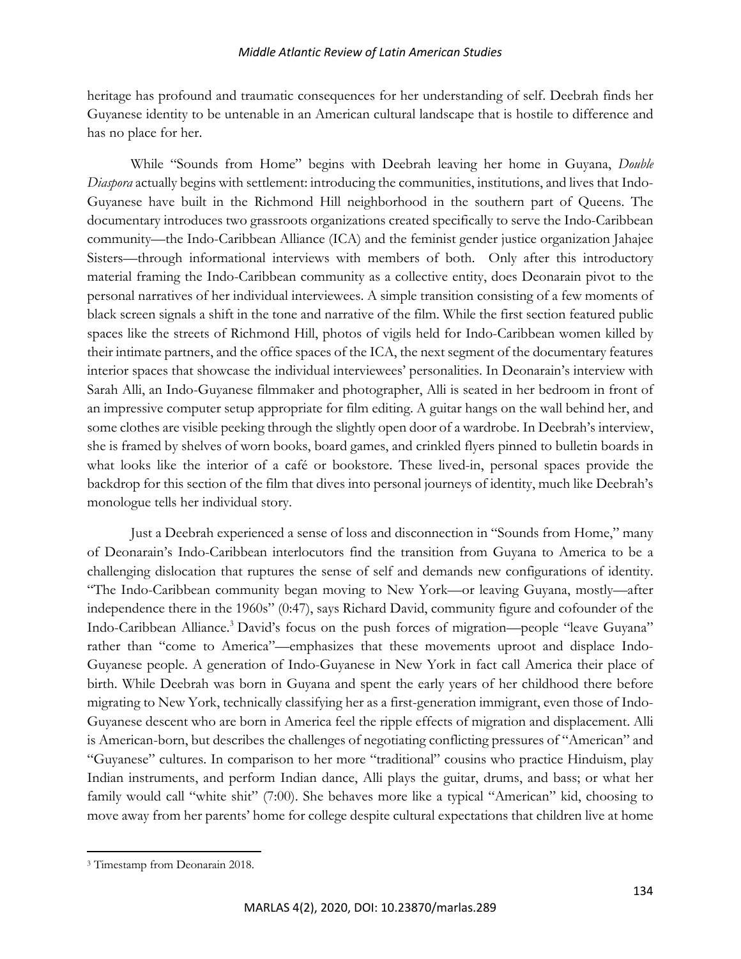#### *Middle Atlantic Review of Latin American Studies*

heritage has profound and traumatic consequences for her understanding of self. Deebrah finds her Guyanese identity to be untenable in an American cultural landscape that is hostile to difference and has no place for her.

While "Sounds from Home" begins with Deebrah leaving her home in Guyana, *Double Diaspora* actually begins with settlement: introducing the communities, institutions, and lives that Indo-Guyanese have built in the Richmond Hill neighborhood in the southern part of Queens. The documentary introduces two grassroots organizations created specifically to serve the Indo-Caribbean community—the Indo-Caribbean Alliance (ICA) and the feminist gender justice organization Jahajee Sisters—through informational interviews with members of both. Only after this introductory material framing the Indo-Caribbean community as a collective entity, does Deonarain pivot to the personal narratives of her individual interviewees. A simple transition consisting of a few moments of black screen signals a shift in the tone and narrative of the film. While the first section featured public spaces like the streets of Richmond Hill, photos of vigils held for Indo-Caribbean women killed by their intimate partners, and the office spaces of the ICA, the next segment of the documentary features interior spaces that showcase the individual interviewees' personalities. In Deonarain's interview with Sarah Alli, an Indo-Guyanese filmmaker and photographer, Alli is seated in her bedroom in front of an impressive computer setup appropriate for film editing. A guitar hangs on the wall behind her, and some clothes are visible peeking through the slightly open door of a wardrobe. In Deebrah's interview, she is framed by shelves of worn books, board games, and crinkled flyers pinned to bulletin boards in what looks like the interior of a café or bookstore. These lived-in, personal spaces provide the backdrop for this section of the film that dives into personal journeys of identity, much like Deebrah's monologue tells her individual story.

Just a Deebrah experienced a sense of loss and disconnection in "Sounds from Home," many of Deonarain's Indo-Caribbean interlocutors find the transition from Guyana to America to be a challenging dislocation that ruptures the sense of self and demands new configurations of identity. "The Indo-Caribbean community began moving to New York—or leaving Guyana, mostly—after independence there in the 1960s" (0:47), says Richard David, community figure and cofounder of the Indo-Caribbean Alliance.<sup>3</sup> David's focus on the push forces of migration—people "leave Guyana" rather than "come to America"—emphasizes that these movements uproot and displace Indo-Guyanese people. A generation of Indo-Guyanese in New York in fact call America their place of birth. While Deebrah was born in Guyana and spent the early years of her childhood there before migrating to New York, technically classifying her as a first-generation immigrant, even those of Indo-Guyanese descent who are born in America feel the ripple effects of migration and displacement. Alli is American-born, but describes the challenges of negotiating conflicting pressures of "American" and "Guyanese" cultures. In comparison to her more "traditional" cousins who practice Hinduism, play Indian instruments, and perform Indian dance, Alli plays the guitar, drums, and bass; or what her family would call "white shit" (7:00). She behaves more like a typical "American" kid, choosing to move away from her parents' home for college despite cultural expectations that children live at home

<sup>3</sup> Timestamp from Deonarain 2018.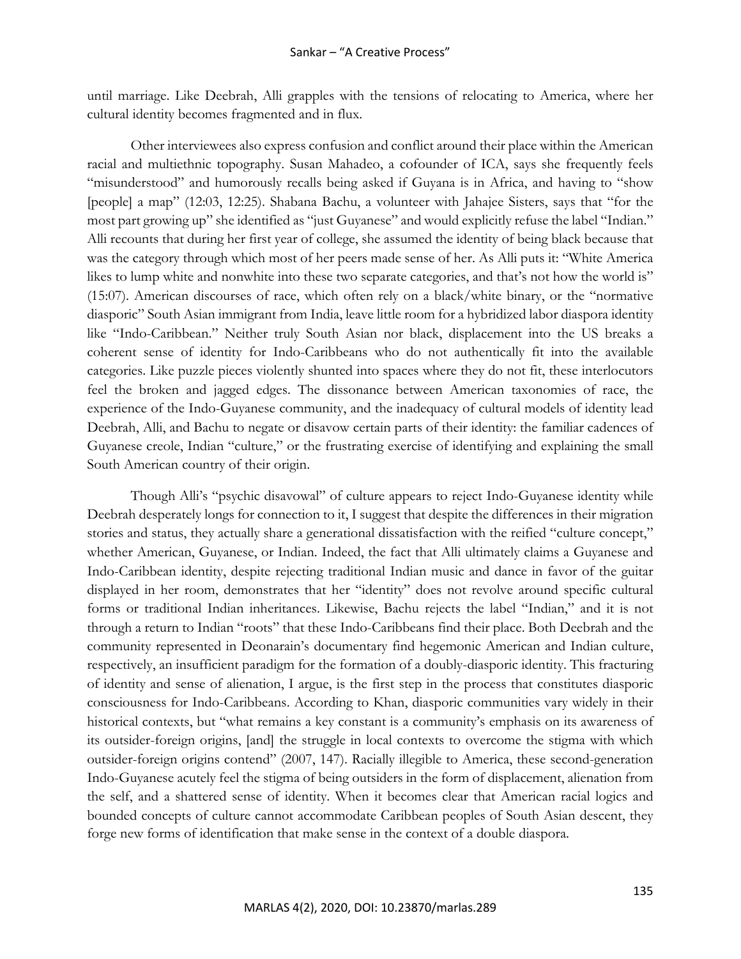until marriage. Like Deebrah, Alli grapples with the tensions of relocating to America, where her cultural identity becomes fragmented and in flux.

Other interviewees also express confusion and conflict around their place within the American racial and multiethnic topography. Susan Mahadeo, a cofounder of ICA, says she frequently feels "misunderstood" and humorously recalls being asked if Guyana is in Africa, and having to "show [people] a map" (12:03, 12:25). Shabana Bachu, a volunteer with Jahajee Sisters, says that "for the most part growing up" she identified as "just Guyanese" and would explicitly refuse the label "Indian." Alli recounts that during her first year of college, she assumed the identity of being black because that was the category through which most of her peers made sense of her. As Alli puts it: "White America likes to lump white and nonwhite into these two separate categories, and that's not how the world is" (15:07). American discourses of race, which often rely on a black/white binary, or the "normative diasporic" South Asian immigrant from India, leave little room for a hybridized labor diaspora identity like "Indo-Caribbean." Neither truly South Asian nor black, displacement into the US breaks a coherent sense of identity for Indo-Caribbeans who do not authentically fit into the available categories. Like puzzle pieces violently shunted into spaces where they do not fit, these interlocutors feel the broken and jagged edges. The dissonance between American taxonomies of race, the experience of the Indo-Guyanese community, and the inadequacy of cultural models of identity lead Deebrah, Alli, and Bachu to negate or disavow certain parts of their identity: the familiar cadences of Guyanese creole, Indian "culture," or the frustrating exercise of identifying and explaining the small South American country of their origin.

Though Alli's "psychic disavowal" of culture appears to reject Indo-Guyanese identity while Deebrah desperately longs for connection to it, I suggest that despite the differences in their migration stories and status, they actually share a generational dissatisfaction with the reified "culture concept," whether American, Guyanese, or Indian. Indeed, the fact that Alli ultimately claims a Guyanese and Indo-Caribbean identity, despite rejecting traditional Indian music and dance in favor of the guitar displayed in her room, demonstrates that her "identity" does not revolve around specific cultural forms or traditional Indian inheritances. Likewise, Bachu rejects the label "Indian," and it is not through a return to Indian "roots" that these Indo-Caribbeans find their place. Both Deebrah and the community represented in Deonarain's documentary find hegemonic American and Indian culture, respectively, an insufficient paradigm for the formation of a doubly-diasporic identity. This fracturing of identity and sense of alienation, I argue, is the first step in the process that constitutes diasporic consciousness for Indo-Caribbeans. According to Khan, diasporic communities vary widely in their historical contexts, but "what remains a key constant is a community's emphasis on its awareness of its outsider-foreign origins, [and] the struggle in local contexts to overcome the stigma with which outsider-foreign origins contend" (2007, 147). Racially illegible to America, these second-generation Indo-Guyanese acutely feel the stigma of being outsiders in the form of displacement, alienation from the self, and a shattered sense of identity. When it becomes clear that American racial logics and bounded concepts of culture cannot accommodate Caribbean peoples of South Asian descent, they forge new forms of identification that make sense in the context of a double diaspora.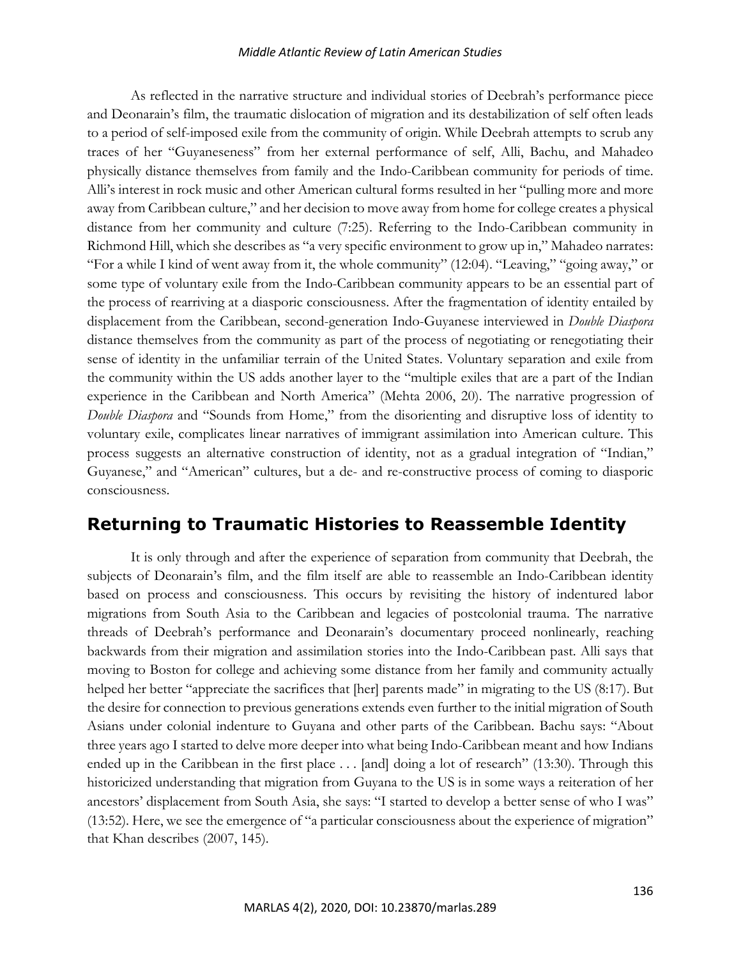#### *Middle Atlantic Review of Latin American Studies*

As reflected in the narrative structure and individual stories of Deebrah's performance piece and Deonarain's film, the traumatic dislocation of migration and its destabilization of self often leads to a period of self-imposed exile from the community of origin. While Deebrah attempts to scrub any traces of her "Guyaneseness" from her external performance of self, Alli, Bachu, and Mahadeo physically distance themselves from family and the Indo-Caribbean community for periods of time. Alli's interest in rock music and other American cultural forms resulted in her "pulling more and more away from Caribbean culture," and her decision to move away from home for college creates a physical distance from her community and culture (7:25). Referring to the Indo-Caribbean community in Richmond Hill, which she describes as "a very specific environment to grow up in," Mahadeo narrates: "For a while I kind of went away from it, the whole community" (12:04). "Leaving," "going away," or some type of voluntary exile from the Indo-Caribbean community appears to be an essential part of the process of rearriving at a diasporic consciousness. After the fragmentation of identity entailed by displacement from the Caribbean, second-generation Indo-Guyanese interviewed in *Double Diaspora* distance themselves from the community as part of the process of negotiating or renegotiating their sense of identity in the unfamiliar terrain of the United States. Voluntary separation and exile from the community within the US adds another layer to the "multiple exiles that are a part of the Indian experience in the Caribbean and North America" (Mehta 2006, 20). The narrative progression of *Double Diaspora* and "Sounds from Home," from the disorienting and disruptive loss of identity to voluntary exile, complicates linear narratives of immigrant assimilation into American culture. This process suggests an alternative construction of identity, not as a gradual integration of "Indian," Guyanese," and "American" cultures, but a de- and re-constructive process of coming to diasporic consciousness.

# **Returning to Traumatic Histories to Reassemble Identity**

It is only through and after the experience of separation from community that Deebrah, the subjects of Deonarain's film, and the film itself are able to reassemble an Indo-Caribbean identity based on process and consciousness. This occurs by revisiting the history of indentured labor migrations from South Asia to the Caribbean and legacies of postcolonial trauma. The narrative threads of Deebrah's performance and Deonarain's documentary proceed nonlinearly, reaching backwards from their migration and assimilation stories into the Indo-Caribbean past. Alli says that moving to Boston for college and achieving some distance from her family and community actually helped her better "appreciate the sacrifices that [her] parents made" in migrating to the US (8:17). But the desire for connection to previous generations extends even further to the initial migration of South Asians under colonial indenture to Guyana and other parts of the Caribbean. Bachu says: "About three years ago I started to delve more deeper into what being Indo-Caribbean meant and how Indians ended up in the Caribbean in the first place . . . [and] doing a lot of research" (13:30). Through this historicized understanding that migration from Guyana to the US is in some ways a reiteration of her ancestors' displacement from South Asia, she says: "I started to develop a better sense of who I was" (13:52). Here, we see the emergence of "a particular consciousness about the experience of migration" that Khan describes (2007, 145).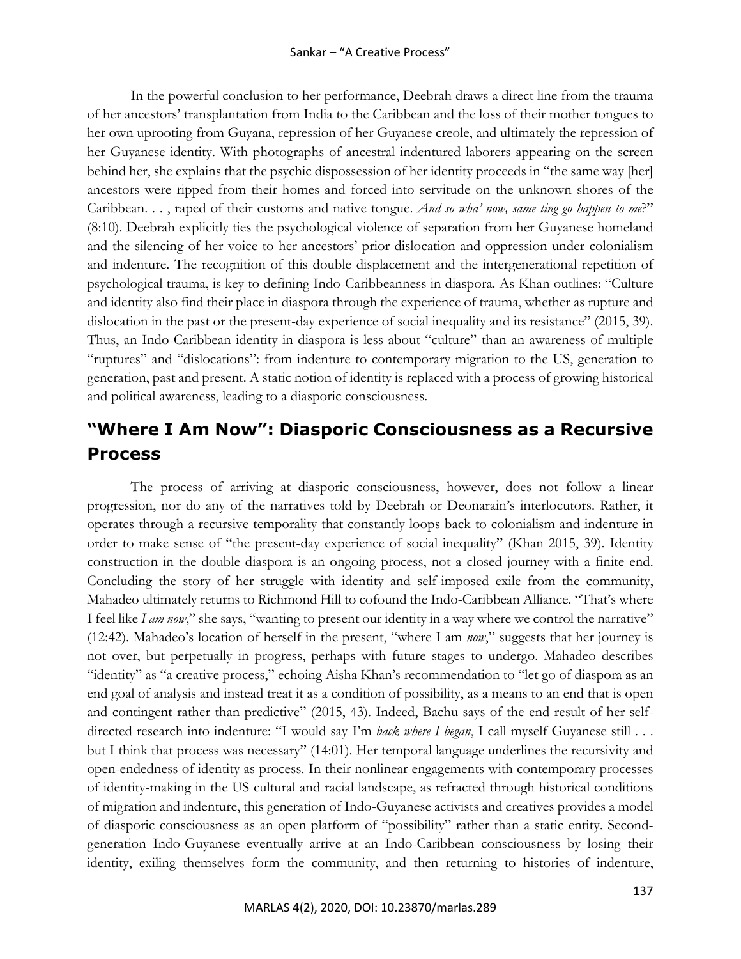In the powerful conclusion to her performance, Deebrah draws a direct line from the trauma of her ancestors' transplantation from India to the Caribbean and the loss of their mother tongues to her own uprooting from Guyana, repression of her Guyanese creole, and ultimately the repression of her Guyanese identity. With photographs of ancestral indentured laborers appearing on the screen behind her, she explains that the psychic dispossession of her identity proceeds in "the same way [her] ancestors were ripped from their homes and forced into servitude on the unknown shores of the Caribbean. . . , raped of their customs and native tongue. *And so wha' now, same ting go happen to me*?" (8:10). Deebrah explicitly ties the psychological violence of separation from her Guyanese homeland and the silencing of her voice to her ancestors' prior dislocation and oppression under colonialism and indenture. The recognition of this double displacement and the intergenerational repetition of psychological trauma, is key to defining Indo-Caribbeanness in diaspora. As Khan outlines: "Culture and identity also find their place in diaspora through the experience of trauma, whether as rupture and dislocation in the past or the present-day experience of social inequality and its resistance" (2015, 39). Thus, an Indo-Caribbean identity in diaspora is less about "culture" than an awareness of multiple "ruptures" and "dislocations": from indenture to contemporary migration to the US, generation to generation, past and present. A static notion of identity is replaced with a process of growing historical and political awareness, leading to a diasporic consciousness.

# **"Where I Am Now": Diasporic Consciousness as a Recursive Process**

The process of arriving at diasporic consciousness, however, does not follow a linear progression, nor do any of the narratives told by Deebrah or Deonarain's interlocutors. Rather, it operates through a recursive temporality that constantly loops back to colonialism and indenture in order to make sense of "the present-day experience of social inequality" (Khan 2015, 39). Identity construction in the double diaspora is an ongoing process, not a closed journey with a finite end. Concluding the story of her struggle with identity and self-imposed exile from the community, Mahadeo ultimately returns to Richmond Hill to cofound the Indo-Caribbean Alliance. "That's where I feel like *I am now*," she says, "wanting to present our identity in a way where we control the narrative" (12:42). Mahadeo's location of herself in the present, "where I am *now*," suggests that her journey is not over, but perpetually in progress, perhaps with future stages to undergo. Mahadeo describes "identity" as "a creative process," echoing Aisha Khan's recommendation to "let go of diaspora as an end goal of analysis and instead treat it as a condition of possibility, as a means to an end that is open and contingent rather than predictive" (2015, 43). Indeed, Bachu says of the end result of her selfdirected research into indenture: "I would say I'm *back where I began*, I call myself Guyanese still . . . but I think that process was necessary" (14:01). Her temporal language underlines the recursivity and open-endedness of identity as process. In their nonlinear engagements with contemporary processes of identity-making in the US cultural and racial landscape, as refracted through historical conditions of migration and indenture, this generation of Indo-Guyanese activists and creatives provides a model of diasporic consciousness as an open platform of "possibility" rather than a static entity. Secondgeneration Indo-Guyanese eventually arrive at an Indo-Caribbean consciousness by losing their identity, exiling themselves form the community, and then returning to histories of indenture,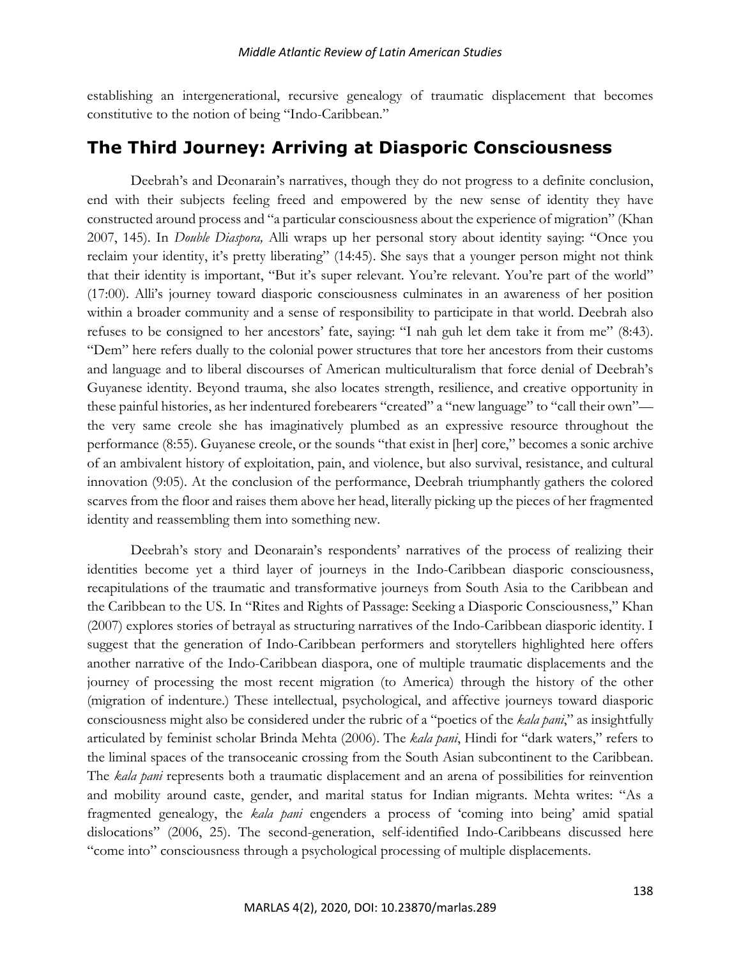establishing an intergenerational, recursive genealogy of traumatic displacement that becomes constitutive to the notion of being "Indo-Caribbean."

# **The Third Journey: Arriving at Diasporic Consciousness**

Deebrah's and Deonarain's narratives, though they do not progress to a definite conclusion, end with their subjects feeling freed and empowered by the new sense of identity they have constructed around process and "a particular consciousness about the experience of migration" (Khan 2007, 145). In *Double Diaspora,* Alli wraps up her personal story about identity saying: "Once you reclaim your identity, it's pretty liberating" (14:45). She says that a younger person might not think that their identity is important, "But it's super relevant. You're relevant. You're part of the world" (17:00). Alli's journey toward diasporic consciousness culminates in an awareness of her position within a broader community and a sense of responsibility to participate in that world. Deebrah also refuses to be consigned to her ancestors' fate, saying: "I nah guh let dem take it from me" (8:43). "Dem" here refers dually to the colonial power structures that tore her ancestors from their customs and language and to liberal discourses of American multiculturalism that force denial of Deebrah's Guyanese identity. Beyond trauma, she also locates strength, resilience, and creative opportunity in these painful histories, as her indentured forebearers "created" a "new language" to "call their own" the very same creole she has imaginatively plumbed as an expressive resource throughout the performance (8:55). Guyanese creole, or the sounds "that exist in [her] core," becomes a sonic archive of an ambivalent history of exploitation, pain, and violence, but also survival, resistance, and cultural innovation (9:05). At the conclusion of the performance, Deebrah triumphantly gathers the colored scarves from the floor and raises them above her head, literally picking up the pieces of her fragmented identity and reassembling them into something new.

Deebrah's story and Deonarain's respondents' narratives of the process of realizing their identities become yet a third layer of journeys in the Indo-Caribbean diasporic consciousness, recapitulations of the traumatic and transformative journeys from South Asia to the Caribbean and the Caribbean to the US. In "Rites and Rights of Passage: Seeking a Diasporic Consciousness," Khan (2007) explores stories of betrayal as structuring narratives of the Indo-Caribbean diasporic identity. I suggest that the generation of Indo-Caribbean performers and storytellers highlighted here offers another narrative of the Indo-Caribbean diaspora, one of multiple traumatic displacements and the journey of processing the most recent migration (to America) through the history of the other (migration of indenture.) These intellectual, psychological, and affective journeys toward diasporic consciousness might also be considered under the rubric of a "poetics of the *kala pani*," as insightfully articulated by feminist scholar Brinda Mehta (2006). The *kala pani*, Hindi for "dark waters," refers to the liminal spaces of the transoceanic crossing from the South Asian subcontinent to the Caribbean. The *kala pani* represents both a traumatic displacement and an arena of possibilities for reinvention and mobility around caste, gender, and marital status for Indian migrants. Mehta writes: "As a fragmented genealogy, the *kala pani* engenders a process of 'coming into being' amid spatial dislocations" (2006, 25). The second-generation, self-identified Indo-Caribbeans discussed here "come into" consciousness through a psychological processing of multiple displacements.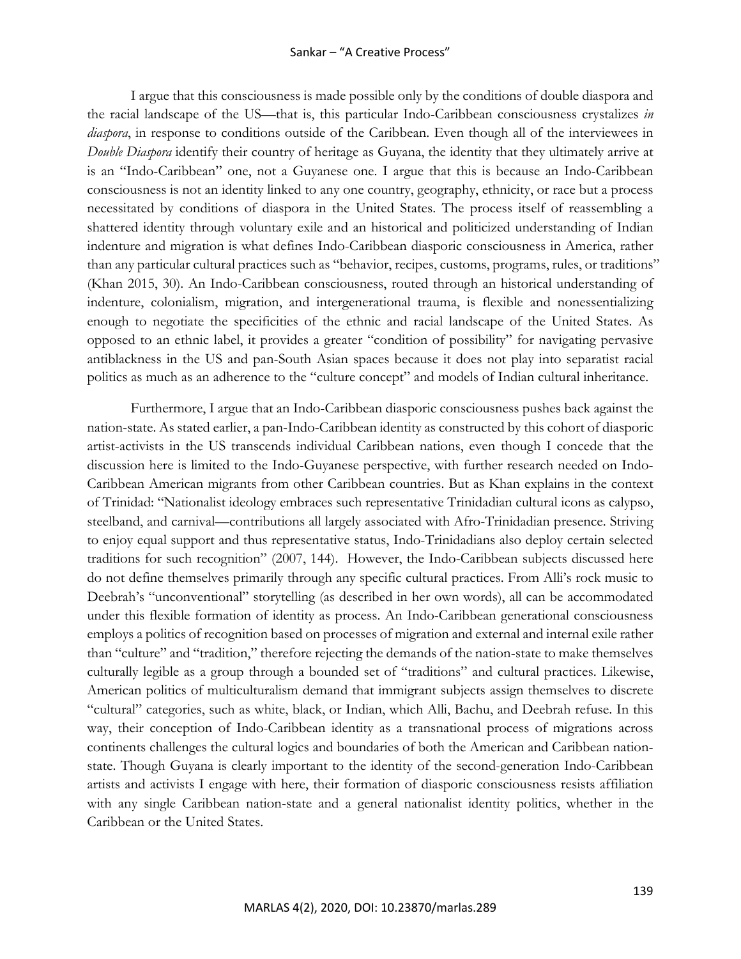#### Sankar – "A Creative Process"

I argue that this consciousness is made possible only by the conditions of double diaspora and the racial landscape of the US—that is, this particular Indo-Caribbean consciousness crystalizes *in diaspora*, in response to conditions outside of the Caribbean. Even though all of the interviewees in *Double Diaspora* identify their country of heritage as Guyana, the identity that they ultimately arrive at is an "Indo-Caribbean" one, not a Guyanese one. I argue that this is because an Indo-Caribbean consciousness is not an identity linked to any one country, geography, ethnicity, or race but a process necessitated by conditions of diaspora in the United States. The process itself of reassembling a shattered identity through voluntary exile and an historical and politicized understanding of Indian indenture and migration is what defines Indo-Caribbean diasporic consciousness in America, rather than any particular cultural practices such as "behavior, recipes, customs, programs, rules, or traditions" (Khan 2015, 30). An Indo-Caribbean consciousness, routed through an historical understanding of indenture, colonialism, migration, and intergenerational trauma, is flexible and nonessentializing enough to negotiate the specificities of the ethnic and racial landscape of the United States. As opposed to an ethnic label, it provides a greater "condition of possibility" for navigating pervasive antiblackness in the US and pan-South Asian spaces because it does not play into separatist racial politics as much as an adherence to the "culture concept" and models of Indian cultural inheritance.

Furthermore, I argue that an Indo-Caribbean diasporic consciousness pushes back against the nation-state. As stated earlier, a pan-Indo-Caribbean identity as constructed by this cohort of diasporic artist-activists in the US transcends individual Caribbean nations, even though I concede that the discussion here is limited to the Indo-Guyanese perspective, with further research needed on Indo-Caribbean American migrants from other Caribbean countries. But as Khan explains in the context of Trinidad: "Nationalist ideology embraces such representative Trinidadian cultural icons as calypso, steelband, and carnival—contributions all largely associated with Afro-Trinidadian presence. Striving to enjoy equal support and thus representative status, Indo-Trinidadians also deploy certain selected traditions for such recognition" (2007, 144). However, the Indo-Caribbean subjects discussed here do not define themselves primarily through any specific cultural practices. From Alli's rock music to Deebrah's "unconventional" storytelling (as described in her own words), all can be accommodated under this flexible formation of identity as process. An Indo-Caribbean generational consciousness employs a politics of recognition based on processes of migration and external and internal exile rather than "culture" and "tradition," therefore rejecting the demands of the nation-state to make themselves culturally legible as a group through a bounded set of "traditions" and cultural practices. Likewise, American politics of multiculturalism demand that immigrant subjects assign themselves to discrete "cultural" categories, such as white, black, or Indian, which Alli, Bachu, and Deebrah refuse. In this way, their conception of Indo-Caribbean identity as a transnational process of migrations across continents challenges the cultural logics and boundaries of both the American and Caribbean nationstate. Though Guyana is clearly important to the identity of the second-generation Indo-Caribbean artists and activists I engage with here, their formation of diasporic consciousness resists affiliation with any single Caribbean nation-state and a general nationalist identity politics, whether in the Caribbean or the United States.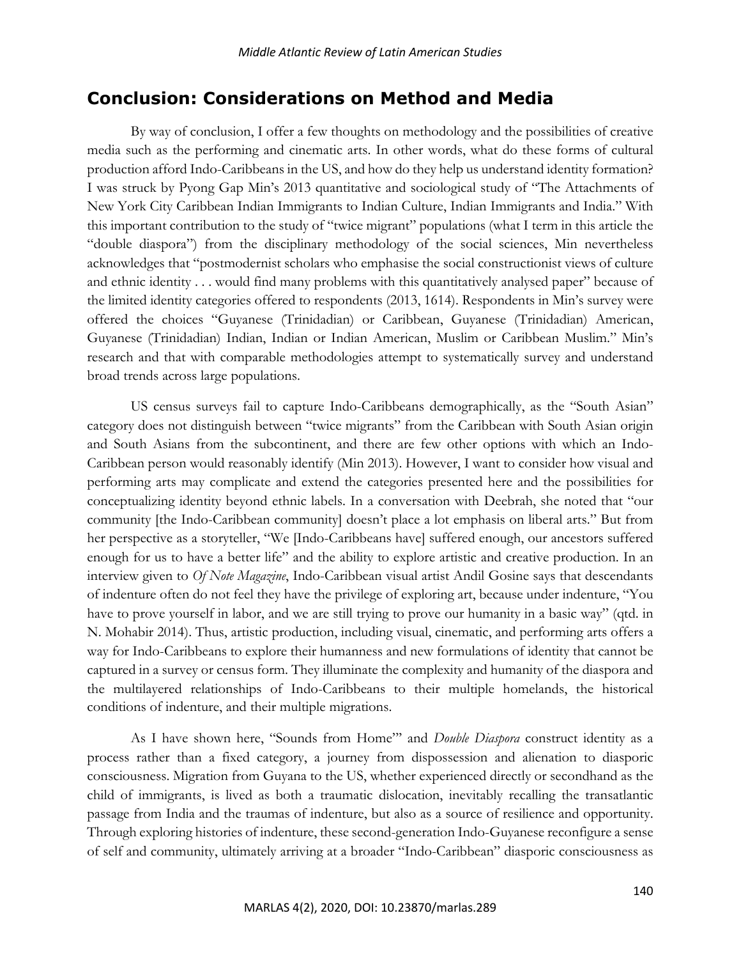# **Conclusion: Considerations on Method and Media**

By way of conclusion, I offer a few thoughts on methodology and the possibilities of creative media such as the performing and cinematic arts. In other words, what do these forms of cultural production afford Indo-Caribbeans in the US, and how do they help us understand identity formation? I was struck by Pyong Gap Min's 2013 quantitative and sociological study of "The Attachments of New York City Caribbean Indian Immigrants to Indian Culture, Indian Immigrants and India." With this important contribution to the study of "twice migrant" populations (what I term in this article the "double diaspora") from the disciplinary methodology of the social sciences, Min nevertheless acknowledges that "postmodernist scholars who emphasise the social constructionist views of culture and ethnic identity . . . would find many problems with this quantitatively analysed paper" because of the limited identity categories offered to respondents (2013, 1614). Respondents in Min's survey were offered the choices "Guyanese (Trinidadian) or Caribbean, Guyanese (Trinidadian) American, Guyanese (Trinidadian) Indian, Indian or Indian American, Muslim or Caribbean Muslim." Min's research and that with comparable methodologies attempt to systematically survey and understand broad trends across large populations.

US census surveys fail to capture Indo-Caribbeans demographically, as the "South Asian" category does not distinguish between "twice migrants" from the Caribbean with South Asian origin and South Asians from the subcontinent, and there are few other options with which an Indo-Caribbean person would reasonably identify (Min 2013). However, I want to consider how visual and performing arts may complicate and extend the categories presented here and the possibilities for conceptualizing identity beyond ethnic labels. In a conversation with Deebrah, she noted that "our community [the Indo-Caribbean community] doesn't place a lot emphasis on liberal arts." But from her perspective as a storyteller, "We [Indo-Caribbeans have] suffered enough, our ancestors suffered enough for us to have a better life" and the ability to explore artistic and creative production. In an interview given to *Of Note Magazine*, Indo-Caribbean visual artist Andil Gosine says that descendants of indenture often do not feel they have the privilege of exploring art, because under indenture, "You have to prove yourself in labor, and we are still trying to prove our humanity in a basic way" (qtd. in N. Mohabir 2014). Thus, artistic production, including visual, cinematic, and performing arts offers a way for Indo-Caribbeans to explore their humanness and new formulations of identity that cannot be captured in a survey or census form. They illuminate the complexity and humanity of the diaspora and the multilayered relationships of Indo-Caribbeans to their multiple homelands, the historical conditions of indenture, and their multiple migrations.

As I have shown here, "Sounds from Home"' and *Double Diaspora* construct identity as a process rather than a fixed category, a journey from dispossession and alienation to diasporic consciousness. Migration from Guyana to the US, whether experienced directly or secondhand as the child of immigrants, is lived as both a traumatic dislocation, inevitably recalling the transatlantic passage from India and the traumas of indenture, but also as a source of resilience and opportunity. Through exploring histories of indenture, these second-generation Indo-Guyanese reconfigure a sense of self and community, ultimately arriving at a broader "Indo-Caribbean" diasporic consciousness as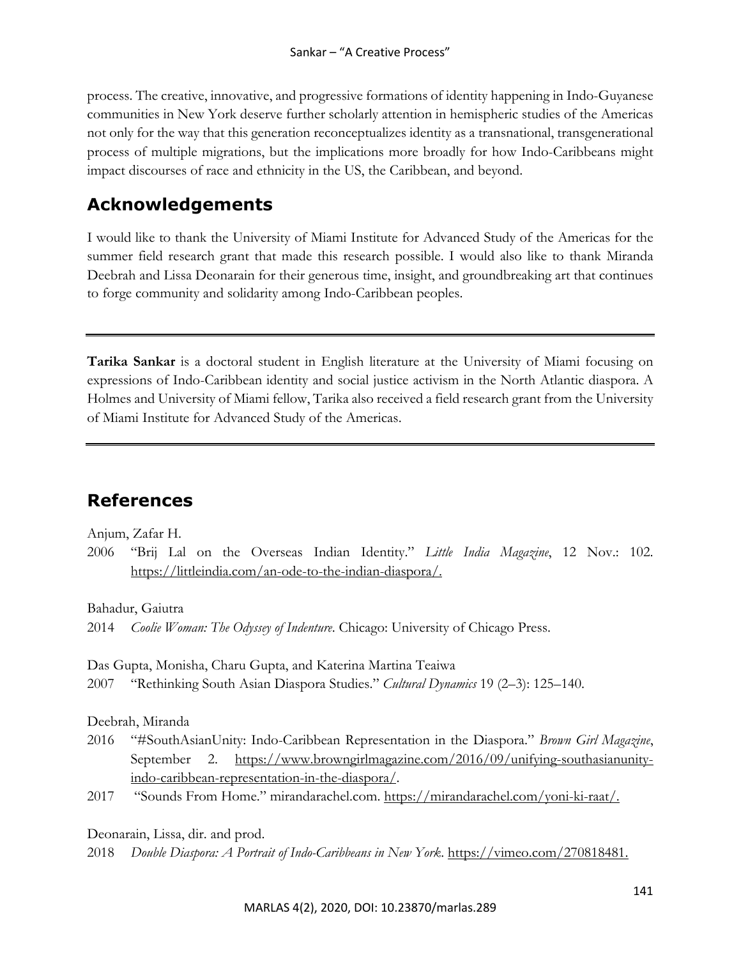process. The creative, innovative, and progressive formations of identity happening in Indo-Guyanese communities in New York deserve further scholarly attention in hemispheric studies of the Americas not only for the way that this generation reconceptualizes identity as a transnational, transgenerational process of multiple migrations, but the implications more broadly for how Indo-Caribbeans might impact discourses of race and ethnicity in the US, the Caribbean, and beyond.

# **Acknowledgements**

I would like to thank the University of Miami Institute for Advanced Study of the Americas for the summer field research grant that made this research possible. I would also like to thank Miranda Deebrah and Lissa Deonarain for their generous time, insight, and groundbreaking art that continues to forge community and solidarity among Indo-Caribbean peoples.

**Tarika Sankar** is a doctoral student in English literature at the University of Miami focusing on expressions of Indo-Caribbean identity and social justice activism in the North Atlantic diaspora. A Holmes and University of Miami fellow, Tarika also received a field research grant from the University of Miami Institute for Advanced Study of the Americas.

# **References**

Anjum, Zafar H.

2006 "Brij Lal on the Overseas Indian Identity." *Little India Magazine*, 12 Nov.: 102. https://littleindia.com/an-ode-to-the-indian-diaspora/.

Bahadur, Gaiutra

2014 *Coolie Woman: The Odyssey of Indenture*. Chicago: University of Chicago Press.

Das Gupta, Monisha, Charu Gupta, and Katerina Martina Teaiwa

2007 "Rethinking South Asian Diaspora Studies." *Cultural Dynamics* 19 (2–3): 125–140.

Deebrah, Miranda

- 2016 "#SouthAsianUnity: Indo-Caribbean Representation in the Diaspora." *Brown Girl Magazine*, September 2. https://www.browngirlmagazine.com/2016/09/unifying-southasianunityindo-caribbean-representation-in-the-diaspora/.
- 2017 "Sounds From Home." mirandarachel.com. https://mirandarachel.com/yoni-ki-raat/.

Deonarain, Lissa, dir. and prod.

2018 *Double Diaspora: A Portrait of Indo-Caribbeans in New York*. https://vimeo.com/270818481.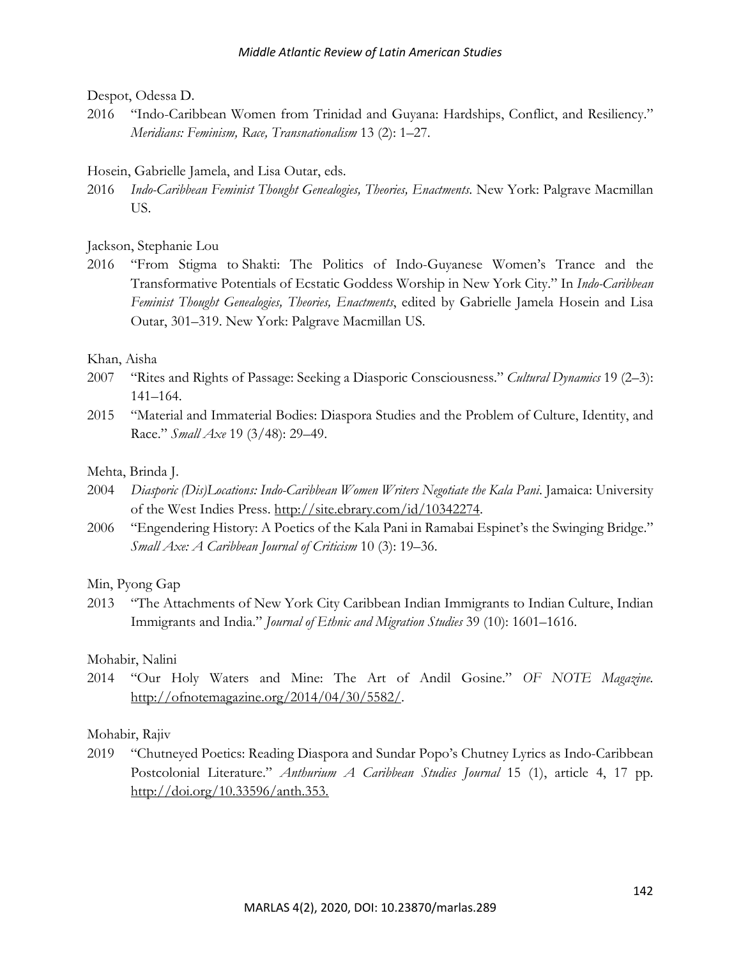### Despot, Odessa D.

2016 "Indo-Caribbean Women from Trinidad and Guyana: Hardships, Conflict, and Resiliency." *Meridians: Feminism, Race, Transnationalism* 13 (2): 1–27.

# Hosein, Gabrielle Jamela, and Lisa Outar, eds.

2016 *Indo-Caribbean Feminist Thought Genealogies, Theories, Enactments*. New York: Palgrave Macmillan US.

# Jackson, Stephanie Lou

2016 "From Stigma to Shakti: The Politics of Indo-Guyanese Women's Trance and the Transformative Potentials of Ecstatic Goddess Worship in New York City." In *Indo-Caribbean Feminist Thought Genealogies, Theories, Enactments*, edited by Gabrielle Jamela Hosein and Lisa Outar, 301–319. New York: Palgrave Macmillan US.

# Khan, Aisha

- 2007 "Rites and Rights of Passage: Seeking a Diasporic Consciousness." *Cultural Dynamics* 19 (2–3): 141–164.
- 2015 "Material and Immaterial Bodies: Diaspora Studies and the Problem of Culture, Identity, and Race." *Small Axe* 19 (3/48): 29–49.

# Mehta, Brinda J.

- 2004 *Diasporic (Dis)Locations: Indo-Caribbean Women Writers Negotiate the Kala Pani*. Jamaica: University of the West Indies Press. http://site.ebrary.com/id/10342274.
- 2006 "Engendering History: A Poetics of the Kala Pani in Ramabai Espinet's the Swinging Bridge." *Small Axe: A Caribbean Journal of Criticism* 10 (3): 19–36.

# Min, Pyong Gap

2013 "The Attachments of New York City Caribbean Indian Immigrants to Indian Culture, Indian Immigrants and India." *Journal of Ethnic and Migration Studies* 39 (10): 1601–1616.

# Mohabir, Nalini

2014 "Our Holy Waters and Mine: The Art of Andil Gosine." *OF NOTE Magazine.* http://ofnotemagazine.org/2014/04/30/5582/.

# Mohabir, Rajiv

2019 "Chutneyed Poetics: Reading Diaspora and Sundar Popo's Chutney Lyrics as Indo-Caribbean Postcolonial Literature." *Anthurium A Caribbean Studies Journal* 15 (1), article 4, 17 pp. http://doi.org/10.33596/anth.353.